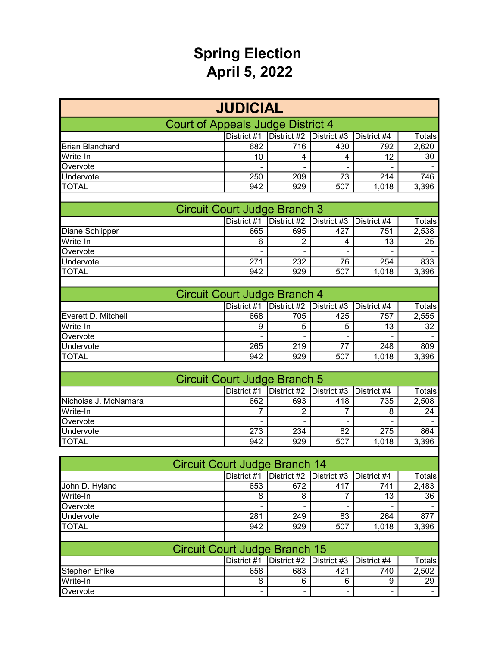## Spring Election April 5, 2022

| <b>JUDICIAL</b>                   |                              |                |             |             |        |  |  |  |  |
|-----------------------------------|------------------------------|----------------|-------------|-------------|--------|--|--|--|--|
| Court of Appeals Judge District 4 |                              |                |             |             |        |  |  |  |  |
|                                   | District #1                  | District #2    | District #3 | District #4 | Totals |  |  |  |  |
| <b>Brian Blanchard</b>            | 682                          | 716            | 430         | 792         | 2,620  |  |  |  |  |
| Write-In                          | 10                           | 4              | 4           | 12          | 30     |  |  |  |  |
| Overvote                          |                              | $\blacksquare$ |             |             |        |  |  |  |  |
| Undervote                         | 250                          | 209            | 73          | 214         | 746    |  |  |  |  |
| <b>TOTAL</b>                      | 942                          | 929            | 507         | 1,018       | 3,396  |  |  |  |  |
|                                   |                              |                |             |             |        |  |  |  |  |
|                                   | Circuit Court Judge Branch 3 |                |             |             |        |  |  |  |  |
|                                   | District #1                  | District #2    | District #3 | District #4 | Totals |  |  |  |  |
| Diane Schlipper                   | 665                          | 695            | 427         | 751         | 2,538  |  |  |  |  |
| Write-In                          | 6                            | 2              | 4           | 13          | 25     |  |  |  |  |
| Overvote                          | -                            | -              |             |             |        |  |  |  |  |
| Undervote                         | 271                          | 232            | 76          | 254         | 833    |  |  |  |  |
| TOTAL                             | 942                          | 929            | 507         | 1.018       | 3,396  |  |  |  |  |

| Circuit Court Judge Branch 4 |             |                                         |     |             |        |  |  |  |
|------------------------------|-------------|-----------------------------------------|-----|-------------|--------|--|--|--|
|                              | District #1 | $\vert$ District #2 $\vert$ District #3 |     | District #4 | Totals |  |  |  |
| Everett D. Mitchell          | 668         | 705                                     | 425 | 757         | 2,555  |  |  |  |
| Write-In                     |             | 5                                       | 5   | 13          | 32     |  |  |  |
| Overvote                     |             |                                         |     |             |        |  |  |  |
| Undervote                    | 265         | 219                                     | 77  | 248         | 809    |  |  |  |
| <b>TOTAL</b>                 | 942         | 929                                     | 507 | 1.018       | 3,396  |  |  |  |

| Circuit Court Judge Branch 5 |             |     |                                     |       |        |  |  |  |  |
|------------------------------|-------------|-----|-------------------------------------|-------|--------|--|--|--|--|
|                              | District #1 |     | District #2 District #3 District #4 |       | Totals |  |  |  |  |
| Nicholas J. McNamara         | 662         | 693 | 418                                 | 735   | 2,508  |  |  |  |  |
| Write-In                     |             | ⌒   |                                     |       | 24     |  |  |  |  |
| Overvote                     |             |     |                                     |       |        |  |  |  |  |
| Undervote                    | 273         | 234 | 82                                  | 275   | 864    |  |  |  |  |
| <b>TOTAL</b>                 | 942         | 929 | 507                                 | 1,018 | 3,396  |  |  |  |  |

| <b>Circuit Court Judge Branch 14</b> |             |                                         |     |             |        |  |  |  |
|--------------------------------------|-------------|-----------------------------------------|-----|-------------|--------|--|--|--|
|                                      | District #1 | $\vert$ District #2 $\vert$ District #3 |     | District #4 | Totals |  |  |  |
| John D. Hyland                       | 653         | 672                                     | 417 | 741         | 2,483  |  |  |  |
| Write-In                             | 8           | 8                                       |     | 13          | 36     |  |  |  |
| Overvote                             | -           | $\overline{\phantom{0}}$                | -   |             |        |  |  |  |
| <b>Undervote</b>                     | 281         | 249                                     | 83  | 264         | 877    |  |  |  |
| <b>TOTAL</b>                         | 942         | 929                                     | 507 | 1,018       | 3,396  |  |  |  |
|                                      |             |                                         |     |             |        |  |  |  |

| <b>Circuit Court Judge Branch 15</b>                       |     |                          |     |     |       |  |  |  |  |
|------------------------------------------------------------|-----|--------------------------|-----|-----|-------|--|--|--|--|
| District #1 District #2 District #3 District #4<br>Totalsl |     |                          |     |     |       |  |  |  |  |
| Stephen Ehlke                                              | 658 | 683                      | 421 | 740 | 2.502 |  |  |  |  |
| Write-In                                                   |     | 6                        |     |     | 29    |  |  |  |  |
| Overvote                                                   |     | $\overline{\phantom{0}}$ |     |     |       |  |  |  |  |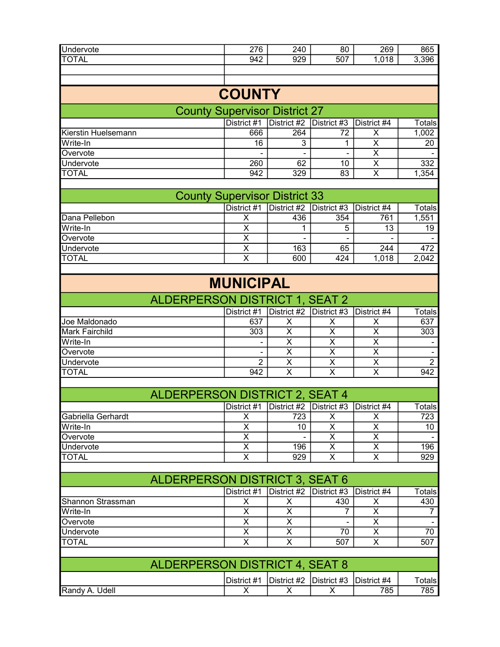| Undervote    | 276 | 240 | 80  | 269  | 865   |
|--------------|-----|-----|-----|------|-------|
| <b>TOTAL</b> | 942 | 929 | 507 | ,018 | 3,396 |
|              |     |     |     |      |       |
|              |     |     |     |      |       |

# **COUNTY**

#### County Supervisor District 27

|                     | District #1 | District #2 $\vert$ District #3 |    | District #4 | Totals <b>I</b> |
|---------------------|-------------|---------------------------------|----|-------------|-----------------|
| Kierstin Huelsemann | 666         | 264                             | 72 |             | 1,002           |
| Write-In            | 16          |                                 |    |             | 20              |
| Overvote            |             |                                 | -  |             |                 |
| Undervote           | 260         | 62                              | 10 |             | 332             |
| <b>TOTAL</b>        | 942         | 329                             | 83 |             | , 354           |
|                     |             |                                 |    |             |                 |

| <b>County Supervisor District 33</b> |             |                                                             |     |       |        |  |  |  |
|--------------------------------------|-------------|-------------------------------------------------------------|-----|-------|--------|--|--|--|
|                                      | District #1 | $\vert$ District #2 $\vert$ District #3 $\vert$ District #4 |     |       | Totals |  |  |  |
| Dana Pellebon                        |             | 436                                                         | 354 | 761   | 1,551  |  |  |  |
| Write-In                             |             |                                                             |     | 13    | 19     |  |  |  |
| Overvote                             |             |                                                             |     |       |        |  |  |  |
| Undervote                            |             | 163                                                         | 65  | 244   | 472    |  |  |  |
| <b>TOTAL</b>                         |             | 600                                                         | 424 | 1,018 | 2,042  |  |  |  |

## MUNICIPAL

| <b>ALDERPERSON DISTRICT 1, SEAT 2</b> |             |                                     |  |  |               |  |  |  |  |
|---------------------------------------|-------------|-------------------------------------|--|--|---------------|--|--|--|--|
|                                       | District #1 | District #2 District #3 District #4 |  |  | <b>Totals</b> |  |  |  |  |
| Joe Maldonado                         | 637         |                                     |  |  | 637           |  |  |  |  |
| <b>Mark Fairchild</b>                 | 303         |                                     |  |  | 303           |  |  |  |  |
| Write-In                              |             |                                     |  |  |               |  |  |  |  |
| <b>Overvote</b>                       |             |                                     |  |  |               |  |  |  |  |
| Undervote                             |             |                                     |  |  |               |  |  |  |  |
| <b>TOTAL</b>                          | 942         |                                     |  |  | 942           |  |  |  |  |

| ALDERPERSON DISTRICT 2, SEAT 4                                           |  |     |  |  |     |  |  |  |  |
|--------------------------------------------------------------------------|--|-----|--|--|-----|--|--|--|--|
| District #1   District #2   District #3   District #4<br>Totals <b>i</b> |  |     |  |  |     |  |  |  |  |
| <b>IGabriella Gerhardt</b>                                               |  | 723 |  |  | 723 |  |  |  |  |
| Write-In                                                                 |  | 10  |  |  | 10  |  |  |  |  |
| Overvote                                                                 |  |     |  |  |     |  |  |  |  |
| Undervote                                                                |  | 196 |  |  | 196 |  |  |  |  |
| <b>TOTAL</b>                                                             |  | 929 |  |  | 929 |  |  |  |  |

| ALDERPERSON DISTRICT 3, SEAT 6                                      |  |  |     |  |     |  |  |  |  |
|---------------------------------------------------------------------|--|--|-----|--|-----|--|--|--|--|
| District #2 District #3 District #4<br>District #1<br><b>Totals</b> |  |  |     |  |     |  |  |  |  |
| Shannon Strassman                                                   |  |  | 430 |  | 430 |  |  |  |  |
| Write-In                                                            |  |  |     |  |     |  |  |  |  |
| Overvote                                                            |  |  |     |  |     |  |  |  |  |
| Undervote                                                           |  |  | 70  |  | 70  |  |  |  |  |
| <b>TOTAL</b>                                                        |  |  | 507 |  | 507 |  |  |  |  |
|                                                                     |  |  |     |  |     |  |  |  |  |

| ALDERPERSON DISTRICT 4, SEAT 8                                     |  |  |  |     |     |  |  |  |
|--------------------------------------------------------------------|--|--|--|-----|-----|--|--|--|
| District #1 District #2 District #3 District #4<br>⊤otals <b>।</b> |  |  |  |     |     |  |  |  |
| Randy A. Udell                                                     |  |  |  | 785 | 785 |  |  |  |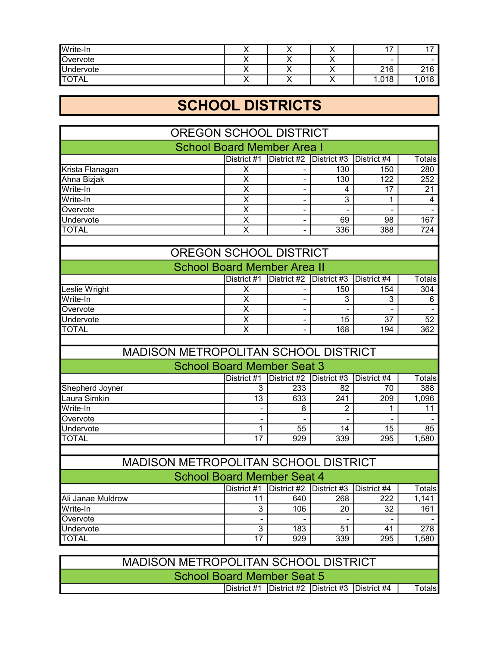| Write-In         |  |   | . –  | . .  |
|------------------|--|---|------|------|
| Overvote         |  |   | -    |      |
| <b>Undervote</b> |  | , | 216  | 216  |
| <b>TOTAL</b>     |  |   | ,018 | ,018 |

# SCHOOL DISTRICTS

| <b>OREGON SCHOOL DISTRICT</b>        |                         |                          |                 |                  |                         |  |
|--------------------------------------|-------------------------|--------------------------|-----------------|------------------|-------------------------|--|
| <b>School Board Member Area I</b>    |                         |                          |                 |                  |                         |  |
|                                      | District $#1$           | District #2              | District $#3$   | District #4      | Totals                  |  |
| Krista Flanagan                      | X                       |                          | 130             | 150              | 280                     |  |
| Ahna Bizjak                          | $\overline{\mathsf{x}}$ |                          | 130             | $\overline{122}$ | 252                     |  |
| Write-In                             | $\overline{\mathsf{x}}$ | -                        | 4               | 17               | 21                      |  |
| Write-In                             | $\overline{\mathsf{x}}$ | $\sim$                   | $\overline{3}$  | 1                | $\overline{\mathbf{4}}$ |  |
| Overvote                             | $\overline{\mathsf{x}}$ | $\blacksquare$           |                 |                  |                         |  |
| Undervote                            | $\overline{\mathsf{x}}$ | $\blacksquare$           | 69              | 98               | 167                     |  |
| <b>TOTAL</b>                         | $\overline{\mathsf{x}}$ |                          | 336             | 388              | $\overline{724}$        |  |
|                                      |                         |                          |                 |                  |                         |  |
| <b>OREGON SCHOOL DISTRICT</b>        |                         |                          |                 |                  |                         |  |
| <b>School Board Member Area II</b>   |                         |                          |                 |                  |                         |  |
|                                      | District #1             | District #2              | District #3     | District #4      | Totals                  |  |
| Leslie Wright                        | $\overline{\mathsf{x}}$ | $\overline{\phantom{a}}$ | 150             | 154              | 304                     |  |
| Write-In                             | $\overline{\mathsf{x}}$ |                          | 3               | 3                | 6                       |  |
| Overvote                             | $\overline{\mathsf{x}}$ | $\blacksquare$           |                 |                  |                         |  |
| Undervote                            | $\overline{\mathsf{x}}$ |                          | $\overline{15}$ | 37               | $\overline{52}$         |  |
| <b>TOTAL</b>                         | $\overline{\mathsf{x}}$ |                          | 168             | 194              | 362                     |  |
|                                      |                         |                          |                 |                  |                         |  |
| MADISON METROPOLITAN SCHOOL DISTRICT |                         |                          |                 |                  |                         |  |
| <b>School Board Member Seat 3</b>    |                         |                          |                 |                  |                         |  |
|                                      | District #1             | District #2              | District #3     | District #4      | <b>Totals</b>           |  |
| Shepherd Joyner                      | 3                       | 233                      | 82              | 70               | 388                     |  |
| Laura Simkin                         | 13                      | 633                      | 241             | 209              | 1,096                   |  |
| Write-In                             |                         | 8                        | 2               | 1                | 11                      |  |
| Overvote                             |                         |                          |                 |                  |                         |  |
| Undervote                            | 1                       | 55                       | 14              | 15               | 85                      |  |
| <b>TOTAL</b>                         | $\overline{17}$         | 929                      | 339             | 295              | 1,580                   |  |
|                                      |                         |                          |                 |                  |                         |  |
| MADISON METROPOLITAN SCHOOL DISTRICT |                         |                          |                 |                  |                         |  |
| <b>School Board Member Seat 4</b>    |                         |                          |                 |                  |                         |  |
|                                      | District #1             | District #2              | District #3     | District #4      | <b>Totals</b>           |  |
| Ali Janae Muldrow                    | 11                      | 640                      | 268             | 222              | 1,141                   |  |
| Write-In                             | $\overline{3}$          | 106                      | 20              | 32               | 161                     |  |

| MADISON METROPOLITAN SCHOOL DISTRICT |                                                    |  |  |  |        |
|--------------------------------------|----------------------------------------------------|--|--|--|--------|
| School Board Member Seat 5           |                                                    |  |  |  |        |
|                                      | District #1  District #2  District #3  District #4 |  |  |  | Totals |

Overvote - - - - - Undervote 278 TOTAL 17 929 339 295 1,580